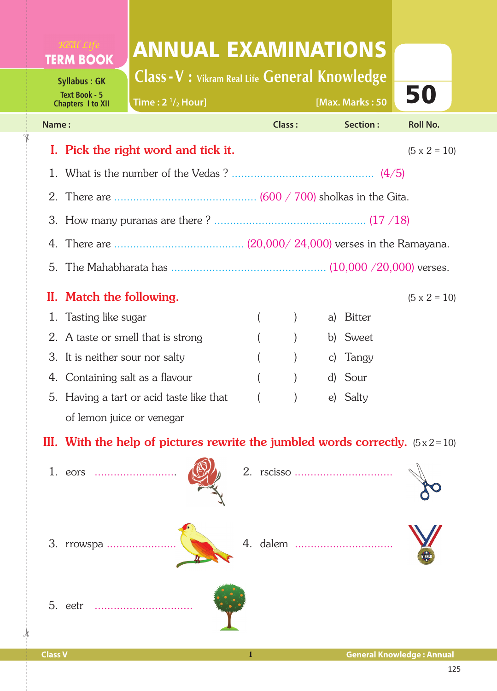## ANNUAL EXAMINATIONS **TERM BOOK**

**Class -V : Vikram Real Life General Knowledge**

**/2 Hour] [Max. Marks : 50**

50

**Time : 2 1**

**Syllabus : GK Text Book - 5 Chapters I to XII**

✁

| Name: |                                                                                         | Class: |                  | Section:  | <b>Roll No.</b>     |
|-------|-----------------------------------------------------------------------------------------|--------|------------------|-----------|---------------------|
|       | I. Pick the right word and tick it.                                                     |        |                  |           | $(5 \times 2 = 10)$ |
|       |                                                                                         |        |                  |           |                     |
|       |                                                                                         |        |                  |           |                     |
|       |                                                                                         |        |                  |           |                     |
|       |                                                                                         |        |                  |           |                     |
|       |                                                                                         |        |                  |           |                     |
|       | II. Match the following.                                                                |        |                  |           | $(5 \times 2 = 10)$ |
|       | 1. Tasting like sugar                                                                   |        | $\left( \right)$ | a) Bitter |                     |
|       | 2. A taste or smell that is strong                                                      |        |                  | b) Sweet  |                     |
|       | 3. It is neither sour nor salty                                                         |        |                  | c) Tangy  |                     |
|       | 4. Containing salt as a flavour                                                         |        | $\left( \right)$ | d) Sour   |                     |
|       | 5. Having a tart or acid taste like that                                                |        |                  | e) Salty  |                     |
|       | of lemon juice or venegar                                                               |        |                  |           |                     |
|       | III. With the help of pictures rewrite the jumbled words correctly. $(5 \times 2 = 10)$ |        |                  |           |                     |



 $\frac{1}{2}$